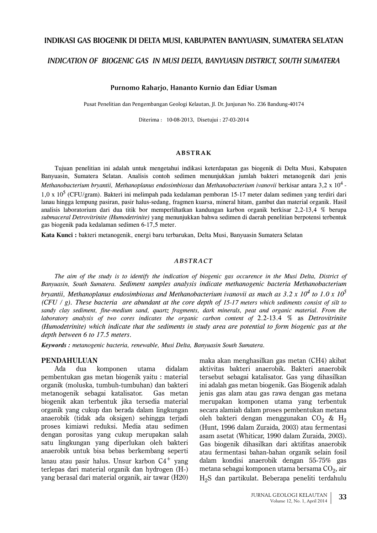### INDIKASI GAS BIOGENIK DI DELTA MUSI, KABUPATEN BANYUASIN, SUMATERA SELATAN

# INDICATION OF BIOGENIC GAS IN MUSI DELTA, BANYUASIN DISTRICT, SOUTH SUMATERA

### Purnomo Raharjo, Hananto Kurnio dan Ediar Usman

Pusat Penelitian dan Pengembangan Geologi Kelautan, Jl. Dr. Junjunan No. 236 Bandung-40174

Diterima: 10-08-2013, Disetujui: 27-03-2014

#### **ABSTRAK**

Tujuan penelitian ini adalah untuk mengetahui indikasi keterdapatan gas biogenik di Delta Musi, Kabupaten Banyuasin, Sumatera Selatan. Analisis contoh sedimen menunjukkan jumlah bakteri metanogenik dari jenis Methanobacterium bryantii, Methanoplanus endosimbiosus dan Methanobacterium ivanovii berkisar antara 3,2 x 10<sup>4</sup> -1,0 x 10<sup>5</sup> (CFU/gram). Bakteri ini melimpah pada kedalaman pemboran 15-17 meter dalam sedimen yang terdiri dari lanau hingga lempung pasiran, pasir halus-sedang, fragmen kuarsa, mineral hitam, gambut dan material organik. Hasil analisis laboratorium dari dua titik bor memperlihatkan kandungan karbon organik berkisar 2,2-13,4 % berupa submaceral Detrovitrinite (Humodetrinite) yang menunjukkan bahwa sedimen di daerah penelitian berpotensi terbentuk gas biogenik pada kedalaman sedimen 6-17,5 meter.

Kata Kunci : bakteri metanogenik, energi baru terbarukan, Delta Musi, Banyuasin Sumatera Selatan

#### **ABSTRACT**

The aim of the study is to identify the indication of biogenic gas occurence in the Musi Delta, District of Banyuasin, South Sumatera. Sediment samples analysis indicate methanogenic bacteria Methanobacterium bryantii, Methanoplanus endosimbiosus and Methanobacterium ivanovii as much as 3.2 x 10<sup>4</sup> to 1.0 x 10<sup>5</sup>  $(CFU / g)$ . These bacteria are abundant at the core depth of 15-17 meters which sediments consist of silt to sandy clay sediment, fine-medium sand, quartz fragments, dark minerals, peat and organic material. From the laboratory analysis of two cores indicates the organic carbon content of 2.2-13.4 % as Detrovitrinite (Humodetrinite) which indicate that the sediments in study area are potential to form biogenic gas at the depth between 6 to 17.5 meters.

Keywords : metanogenic bacteria, renewable, Musi Delta, Banyuasin South Sumatera.

#### PENDAHULUAN

Ada dua ua komponen utama idalam pembentukan gas metan biogenik yaitu : material organik (moluska, tumbuh-tumbuhan) dan bakteri metanogenik sebagai katalisator. Gas metan Gas metan biogenik akan terbentuk jika tersedia material organik yang cukup dan berada dalam lingkungan anaerobik (tidak ada oksigen) sehingga terjadi proses kimiawi reduksi. Media atau sedimen dengan porositas yang cukup merupakan salah satu lingkungan yang diperlukan oleh bakteri anaerobik untuk bisa bebas berkembang seperti lanau atau pasir halus. Unsur karbon  $\rm{C4}^+$  yang terlepas dari material organik dan hydrogen (H-) yang berasal dari material organik, air tawar (H20)

maka akan menghasilkan gas metan (CH4) akibat aktivitas bakteri anaerobik. Bakteri anaerobik tersebut sebagai katalisator. Gas yang dihasilkan ini adalah gas metan biogenik. Gas Biogenik adalah jenis gas alam atau gas rawa dengan gas metana merupakan komponen utama yang terbentuk secara alamiah dalam proses pembentukan metana oleh bakteri dengan menggunakan C $\mathrm{O}_2$  &  $\mathrm{H}_2$ (Hunt, 1996 dalam Zuraida, 2003) atau fermentasi asam asetat (Whiticar, 1990 dalam Zuraida, 2003). Gas biogenik dihasilkan dari aktifitas anaerobik atau fermentasi bahan-bahan organik selain fosil dalam kondisi anaerobik dengan 55-75% gas metana sebagai komponen utama bersama C $\mathrm{O}_2$ , air  $\rm H_2S$  dan partikulat. Beberapa peneliti terdahulu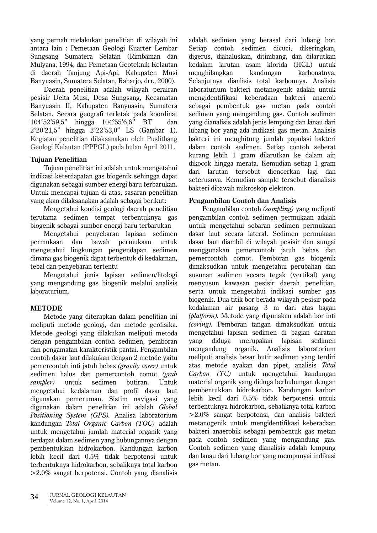vang pernah melakukan penelitian di wilayah ini antara lain : Pemetaan Geologi Kuarter Lembar Sungsang Sumatera Selatan (Rimbaman dan Mulyana, 1994, dan Pemetaan Geoteknik Kelautan di daerah Tanjung Api-Api, Kabupaten Musi Banyuasin, Sumatera Selatan, Rahario, drr., 2000).

Daerah penelitian adalah wilayah perairan pesisir Delta Musi, Desa Sungsang, Kecamatan Banyuasin II, Kabupaten Banyuasin, Sumatera Selatan. Secara geografi terletak pada koordinat  $104^{\circ}52'59.5''$  hingga  $104^{\circ}55'6.6''$  BT dan 2°20'21,5" hingga 2°22'53,0" LS (Gambar 1). Kegiatan penelitian dilaksanakan oleh Puslitbang Geologi Kelautan (PPPGL) pada bulan April 2011.

# **Tujuan Penelitian**

Tujuan penelitian ini adalah untuk mengetahui indikasi keterdapatan gas biogenik sehingga dapat digunakan sebagai sumber energi baru terbarukan. Untuk mencapai tujuan di atas, sasaran penelitian vang akan dilaksanakan adalah sebagai berikut:

Mengetahui kondisi geologi daerah penelitian terutama sedimen tempat terbentuknya gas biogenik sebagai sumber energi baru terbarukan

Mengetahui penyebaran lapisan sedimen permukaan dan bawah permukaan  $untuk$ mengetahui lingkungan pengendapan sedimen dimana gas biogenik dapat terbentuk di kedalaman, tebal dan penyebaran tertentu

Mengetahui jenis lapisan sedimen/litologi vang mengandung gas biogenik melalui analisis laboraturium.

### **METODE**

Metode yang diterapkan dalam penelitian ini meliputi metode geologi, dan metode geofisika. Metode geologi yang dilakukan meliputi metoda dengan pengambilan contoh sedimen, pemboran dan pengamatan karakteristik pantai. Pengambilan contoh dasar laut dilakukan dengan 2 metode vaitu pemercontoh inti jatuh bebas (*gravity corer*) untuk sedimen halus dan pemercontoh comot (grab sampler) untuk sedimen butiran. Untuk mengetahui kedalaman dan profil dasar laut digunakan pemeruman. Sistim navigasi yang digunakan dalam penelitian ini adalah Global Positioning System (GPS). Analisa laboratorium kandungan Total Organic Carbon (TOC) adalah untuk mengetahui jumlah material organik yang terdapat dalam sedimen yang hubungannya dengan pembentukkan hidrokarbon. Kandungan karbon lebih kecil dari 0.5% tidak berpotensi untuk terbentuknya hidrokarbon, sebaliknya total karbon  $>2.0\%$  sangat berpotensi. Contoh yang dianalisis adalah sedimen yang berasal dari lubang bor. Setiap contoh sedimen dicuci, dikeringkan, digerus, diahaluskan, ditimbang, dan dilarutkan kedalam larutan asam klorida (HCL) untuk menghilangkan kandungan karbonatnya. Selanjutnya dianlisis total karbonnya. Analisia laboraturium bakteri metanogenik adalah untuk mengidentifikasi keberadaan bakteri anaerob sebagai pembentuk gas metan pada contoh sedimen yang mengandung gas. Contoh sedimen yang dianalisis adalah jenis lempung dan lanau dari lubang bor yang ada indikasi gas metan. Analisis bakteri ini menghitung jumlah populasi bakteri dalam contoh sedimen. Setiap contoh seberat kurang lebih 1 gram dilarutkan ke dalam air, dikocok hingga merata. Kemudian setiap 1 gram dari larutan tersebut diencerkan lagi dan seterusnya. Kemudian sample tersebut dianalisis bakteri dibawah mikroskop elektron.

### Pengambilan Contoh dan Analisis

Pengambilan contoh (sampling) yang meliputi pengambilan contoh sedimen permukaan adalah untuk mengetahui sebaran sedimen permukaan dasar laut secara lateral. Sedimen permukaan dasar laut diambil di wilayah pesisir dan sungai menggunakan pemercontoh jatuh bebas dan pemercontoh comot. Pemboran gas biogenik dimaksudkan untuk mengetahui perubahan dan susunan sedimen secara tegak (vertikal) yang menyusun kawasan pesisir daerah penelitian. serta untuk mengetahui indikasi sumber gas biogenik. Dua titik bor berada wilayah pesisir pada kedalaman air pasang 3 m dari atas bagan (platform). Metode vang digunakan adalah bor inti (coring). Pemboran tangan dimaksudkan untuk mengetahui lapisan sedimen di bagian daratan vang diduga merupakan lapisan sedimen mengandung organik. Analisis laboratorium meliputi analisis besar butir sedimen vang terdiri atas metode ayakan dan pipet, analisis Total Carbon (TC) untuk mengetahui kandungan material organik yang diduga berhubungan dengan pembentukkan hidrokarbon. Kandungan karbon lebih kecil dari 0.5% tidak berpotensi untuk terbentuknya hidrokarbon, sebaliknya total karbon  $>2.0\%$  sangat berpotensi, dan analisis bakteri metanogenik untuk mengidentifikasi keberadaan bakteri anaerobik sebagai pembentuk gas metan pada contoh sedimen yang mengandung gas. Contoh sedimen vang dianalisis adalah lempung dan lanau dari lubang bor yang mempunyai indikasi gas metan.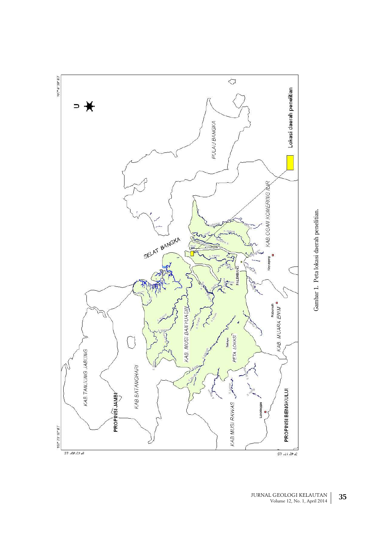

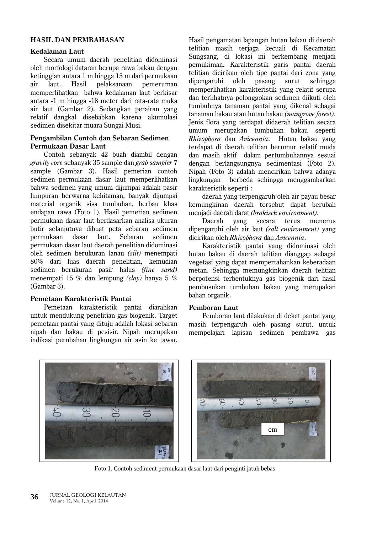# **HASIL DAN PEMBAHASAN**

### **Kedalaman Laut**

Secara umum daerah penelitian didominasi oleh morfologi dataran berupa rawa bakau dengan ketinggian antara 1 m hingga 15 m dari permukaan air pelaksanaan laut. Hasil pemeruman memperlihatkan bahwa kedalaman laut berkisar antara -1 m hingga -18 meter dari rata-rata muka air laut (Gambar 2). Sedangkan perairan yang relatif dangkal disebabkan karena akumulasi sedimen disekitar muara Sungai Musi.

### Pengambilan Contoh dan Sebaran Sedimen Permukaan Dasar Laut

Contoh sebanyak 42 buah diambil dengan gravity core sebanyak 35 sample dan grab sampler 7 sample (Gambar 3). Hasil pemerian contoh sedimen permukaan dasar laut memperlihatkan bahwa sedimen yang umum dijumpai adalah pasir lumpuran berwarna kehitaman, banyak dijumpai material organik sisa tumbuhan, berbau khas endapan rawa (Foto 1). Hasil pemerian sedimen permukaan dasar laut berdasarkan analisa ukuran butir selanjutnya dibuat peta sebaran sedimen  $laut.$ permukaan dasar Sebaran sedimen permukaan dasar laut daerah penelitian didominasi oleh sedimen berukuran lanau (silt) menempati 80% dari luas daerah penelitian, kemudian sedimen berukuran pasir halus (fine sand) menempati 15 % dan lempung (clay) hanya 5 %  $(Gambar 3)$ .

### Pemetaan Karakteristik Pantai

Pemetaan karakteristik pantai diarahkan untuk mendukung penelitian gas biogenik. Target pemetaan pantai yang dituju adalah lokasi sebaran nipah dan bakau di pesisir. Nipah merupakan indikasi perubahan lingkungan air asin ke tawar. Hasil pengamatan lapangan hutan bakau di daerah telitian masih teriaga kecuali di Kecamatan Sungsang, di lokasi ini berkembang menjadi pemukiman. Karakteristik garis pantai daerah telitian dicirikan oleh tipe pantai dari zona yang oleh pasang dipengaruhi surut sehingga memperlihatkan karakteristik yang relatif serupa dan terlihatnya pelonggokan sedimen diikuti oleh tumbuhnya tanaman pantai yang dikenal sebagai tanaman bakau atau hutan bakau (mangrove forest). Jenis flora vang terdapat didaerah telitian secara umum merupakan tumbuhan bakau seperti Rhizobhora dan Avicennia. Hutan bakau yang terdapat di daerah telitian berumur relatif muda dan masih aktif dalam pertumbuhannya sesuai dengan berlangsungnya sedimentasi (Foto 2). Nipah (Foto 3) adalah mencirikan bahwa adanya lingkungan berbeda sehingga menggambarkan karakteristik seperti:

daerah yang terpengaruh oleh air payau besar kemungkinan daerah tersebut dapat berubah meniadi daerah darat (brakisch environment).

Daerah yang secara terus menerus dipengaruhi oleh air laut (salt environment) yang dicirikan oleh Rhizophora dan Avicennia.

Karakteristik pantai yang didominasi oleh hutan bakau di daerah telitian dianggap sebagai vegetasi yang dapat mempertahankan keberadaan metan. Sehingga memungkinkan daerah telitian berpotensi terbentuknya gas biogenik dari hasil pembusukan tumbuhan bakau yang merupakan bahan organik.

### Pemboran Laut

Pemboran laut dilakukan di dekat pantai yang masih terpengaruh oleh pasang surut, untuk mempelajari lapisan sedimen pembawa gas



Foto 1. Contoh sediment permukaan dasar laut dari penginti jatuh bebas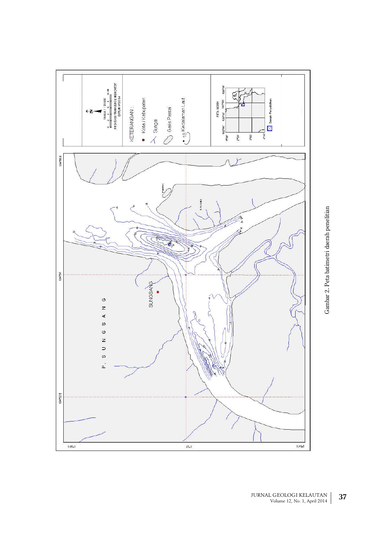

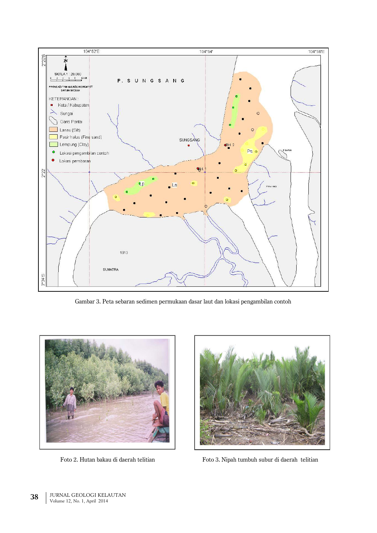

Gambar 3. Peta sebaran sedimen permukaan dasar laut dan lokasi pengambilan contoh



Foto 2. Hutan bakau di daerah telitian



Foto 3. Nipah tumbuh subur di daerah telitian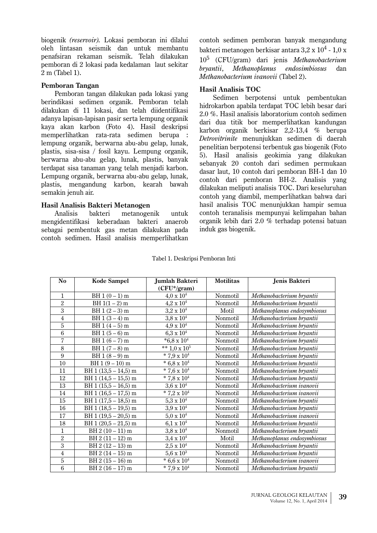biogenik (reservoir). Lokasi pemboran ini dilalui oleh lintasan seismik dan untuk membantu penafsiran rekaman seismik. Telah dilakukan pemboran di 2 lokasi pada kedalaman laut sekitar 2 m (Tabel 1).

### **Pemboran Tangan**

Pemboran tangan dilakukan pada lokasi yang berindikasi sedimen organik. Pemboran telah dilakukan di 11 lokasi, dan telah diidentifikasi adanya lapisan-lapisan pasir serta lempung organik kaya akan karbon (Foto 4). Hasil deskripsi memperlihatkan rata-rata sedimen berupa : lempung organik, berwarna abu-abu gelap, lunak, plastis, sisa-sisa / fosil kayu. Lempung organik, berwarna abu-abu gelap, lunak, plastis, banyak terdapat sisa tanaman yang telah menjadi karbon. Lempung organik, berwarna abu-abu gelap, lunak, plastis, mengandung karbon, kearah bawah semakin jenuh air.

# Hasil Analisis Bakteri Metanogen

**Analisis** bakteri metanogenik ik untuk mengidentifikasi keberadaan bakteri anaerob sebagai pembentuk gas metan dilakukan pada contoh sedimen. Hasil analisis memperlihatkan

contoh sedimen pemboran banyak mengandung bakteri metanogen berkisar antara 3,2 x 10 $^4$  - 1,0 x 10<sup>5</sup> (CFU/gram) dari jenis Methanobacterium bryantii, Methanoplanus endosimbiosus dan Methanobacterium ivanovii (Tabel 2).

### **Hasil Analisis TOC**

Sedimen berpotensi untuk pembentukan hidrokarbon apabila terdapat TOC lebih besar dari 2.0 %. Hasil analisis laboratorium contoh sedimen dari dua titik bor memperlihatkan kandungan karbon organik berkisar 2,2-13,4 % berupa Detrovitrinite menunjukkan sedimen di daerah penelitian berpotensi terbentuk gas biogenik (Foto 5). Hasil analisis geokimia yang dilakukan sebanyak 20 contoh dari sedimen permukaan dasar laut, 10 contoh dari pemboran BH-1 dan 10 contoh dari pemboran BH-2. Analisis yang dilakukan meliputi analisis TOC. Dari keseluruhan contoh yang diambil, memperlihatkan bahwa dari hasil analisis TOC menunjukkan hampir semua contoh teranalisis mempunyai kelimpahan bahan organik lebih dari 2.0 % terhadap potensi batuan induk gas biogenik.

| N <sub>0</sub>  | <b>Kode Sampel</b>    | Jumlah Bakteri                    | <b>Motilitas</b> | Jenis Bakteri               |
|-----------------|-----------------------|-----------------------------------|------------------|-----------------------------|
|                 |                       | (CFU*/gram)                       |                  |                             |
| $\mathbf{1}$    | $BH 1 (0 - 1) m$      | $4.0 \times 10^4$                 | Nonmotil         | Methanobacterium bryantii   |
| $\overline{2}$  | BH $1(1-2)$ m         | $4.2 \times 10^4$                 | Nonmotil         | Methanobacterium bryantii   |
| 3               | BH $1(2-3)$ m         | $3.2 \times 10^4$                 | Motil            | Methanoplanus endosymbiosus |
| $\overline{4}$  | $BH 1 (3 - 4) m$      | $3,8 \times 10^{4}$               | Nonmotil         | Methanobacterium bryantii   |
| $\overline{5}$  | $BH 1 (4-5) m$        | $4.9 \times 10^{4}$               | Nonmotil         | Methanobacterium bryantii   |
| 6               | $BH 1 (5-6) m$        | $6.3 \times 10^{4}$               | Nonmotil         | Methanobacterium bryantii   |
| $\overline{7}$  | $BH 1 (6 - 7) m$      | $*6,8 \times 10^4$                | Nonmotil         | Methanobacterium bryantii   |
| 8               | $BH 1 (7-8) m$        | $\sqrt{**}$ 1,0 x 10 <sup>5</sup> | Nonmotil         | Methanobacterium bryantii   |
| 9               | $BH 1 (8 - 9) m$      | * 7,9 x $10^4$                    | Nonmotil         | Methanobacterium bryantii   |
| 10              | BH $1(9-10)$ m        | * $6.8 \times 10^4$               | Nonmotil         | Methanobacterium bryantii   |
| 11              | BH 1 (13,5 - 14,5) m  | * 7,6 x $10^4$                    | Nonmotil         | Methanobacterium bryantii   |
| 12              | BH $1(14,5-15,5)$ m   | * 7,8 x $10^4$                    | Nonmotil         | Methanobacterium bryantii   |
| 13              | BH $1(15,5 - 16,5)$ m | $3,6 \times 10^{4}$               | Nonmotil         | Methanobacterium ivanovii   |
| 14              | BH 1 (16,5 - 17,5) m  | * 7,2 x $10^4$                    | Nonmotil         | Methanobacterium ivanovii   |
| 15              | BH 1 (17,5 - 18,5) m  | $5.3 \times 10^{4}$               | Nonmotil         | Methanobacterium bryantii   |
| 16              | BH 1 (18,5 - 19,5) m  | $3.9 \times 10^{4}$               | Nonmotil         | Methanobacterium bryantii   |
| 17              | BH $1(19,5-20,5)$ m   | $5.0 \times 10^{4}$               | Nonmotil         | Methanobacterium ivanovii   |
| 18              | BH $1(20,5-21,5)$ m   | $6,1 \times 10^{4}$               | Nonmotil         | Methanobacterium bryantii   |
| $\mathbf{1}$    | BH $2(10-11)$ m       | $3.8 \times 10^{4}$               | Nonmotil         | Methanobacterium bryantii   |
| $\overline{2}$  | BH $2(11-12)$ m       | $3.4 \times 10^4$                 | Motil            | Methanoplanus endosymbiosus |
| 3               | BH $2(12-13)$ m       | $2,5 \times 10^4$                 | Nonmotil         | Methanobacterium bryantii   |
| $\overline{4}$  | $BH 2 (14 - 15) m$    | $5,6 \times 10^3$                 | Nonmotil         | Methanobacterium bryantii   |
| 5               | $BH 2 (15 - 16) m$    | * $6.6 \times 10^4$               | Nonmotil         | Methanobacterium ivanovii   |
| $6\phantom{1}6$ | BH $2(16-17)$ m       | * 7,9 x $10^4$                    | Nonmotil         | Methanobacterium bryantii   |

Tabel 1. Deskripsi Pemboran Inti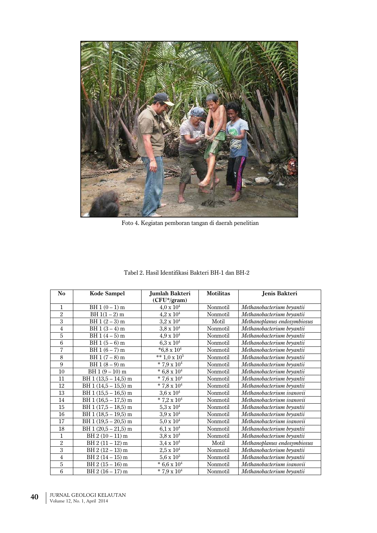

Foto 4. Kegiatan pemboran tangan di daerah penelitian

| N <sub>o</sub> | <b>Kode Sampel</b>    | Jumlah Bakteri       | <b>Motilitas</b> | Jenis Bakteri               |
|----------------|-----------------------|----------------------|------------------|-----------------------------|
|                |                       | (CFU*/gram)          |                  |                             |
| $\mathbf{1}$   | BH $1(0-1)$ m         | $4.0 \times 10^4$    | Nonmotil         | Methanobacterium bryantii   |
| $\overline{2}$ | BH $1(1-2)$ m         | $4.2 \times 10^4$    | Nonmotil         | Methanobacterium bryantii   |
| 3              | $BH 1 (2 - 3) m$      | $3.2 \times 10^{4}$  | Motil            | Methanoplanus endosymbiosus |
| $\overline{4}$ | $BH 1 (3 - 4) m$      | $3,8 \times 10^{4}$  | Nonmotil         | Methanobacterium bryantii   |
| 5              | $BH 1 (4-5) m$        | $4.9 \ge 10^4$       | Nonmotil         | Methanobacterium bryantii   |
| $\,6$          | $BH 1 (5-6) m$        | $6.3 \times 10^{4}$  | Nonmotil         | Methanobacterium bryantii   |
| 7              | BH 1 (6 – 7) m        | $*6,8 \times 10^4$   | Nonmotil         | Methanobacterium bryantii   |
| 8              | $BH 1 (7-8) m$        | ** $1,0 \times 10^5$ | Nonmotil         | Methanobacterium bryantii   |
| 9              | $BH 1 (8 - 9) m$      | * 7,9 x $10^4$       | Nonmotil         | Methanobacterium bryantii   |
| 10             | $BH 1 (9 - 10) m$     | $* 6,8 \times 10^4$  | Nonmotil         | Methanobacterium bryantii   |
| 11             | BH $1(13,5 - 14,5)$ m | * 7,6 x $10^4$       | Nonmotil         | Methanobacterium bryantii   |
| 12             | BH $1(14,5-15,5)$ m   | * 7,8 x $10^4$       | Nonmotil         | Methanobacterium bryantii   |
| 13             | BH 1 (15,5 - 16,5) m  | $3,6 \times 10^4$    | Nonmotil         | Methanobacterium ivanovii   |
| 14             | BH 1 (16,5 - 17,5) m  | * 7,2 x $10^4$       | Nonmotil         | Methanobacterium ivanovii   |
| 15             | BH $1(17,5 - 18,5)$ m | $5.3 \times 10^{4}$  | Nonmotil         | Methanobacterium bryantii   |
| 16             | BH $1(18,5-19,5)$ m   | $3.9 \times 10^{4}$  | Nonmotil         | Methanobacterium bryantii   |
| 17             | BH $1(19.5-20.5)$ m   | $5.0 \ge 10^4$       | Nonmotil         | Methanobacterium ivanovii   |
| 18             | BH $1(20.5-21.5)$ m   | $6,1 \times 10^{4}$  | Nonmotil         | Methanobacterium bryantii   |
| 1              | $BH 2 (10 - 11) m$    | $3.8 \ge 10^4$       | Nonmotil         | Methanobacterium bryantii   |
| $\overline{2}$ | $BH 2 (11 - 12) m$    | $3.4 \times 10^{4}$  | Motil            | Methanoplanus endosymbiosus |
| 3              | $BH 2 (12 - 13) m$    | $2,5 \times 10^4$    | Nonmotil         | Methanobacterium bryantii   |
| $\overline{4}$ | $BH 2 (14 - 15) m$    | $5,6 \times 10^3$    | Nonmotil         | Methanobacterium bryantii   |
| 5              | $BH 2 (15 - 16) m$    | * $6,6 \times 10^4$  | Nonmotil         | Methanobacterium ivanovii   |
| $\,6$          | $BH 2 (16 - 17) m$    | * 7,9 x $10^4$       | Nonmotil         | Methanobacterium bryantii   |

Tabel 2. Hasil Identifikasi Bakteri BH-1 dan BH-2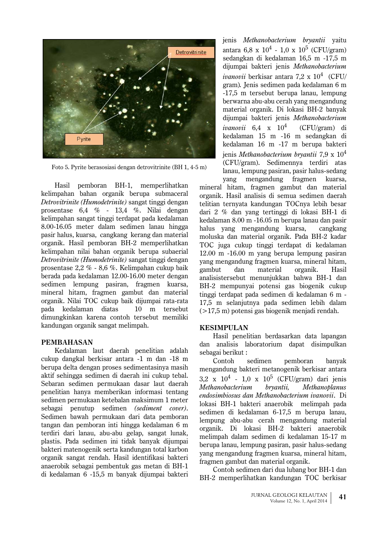

Foto 5. Pyrite berasosiasi dengan detrovitrinite (BH 1, 4-5 m)

BH-1, memperlihatkan Hasil pemboran kelimpahan bahan organik berupa submaceral Detrovitrinite (Humodetrinite) sangat tinggi dengan prosentase  $6.4 \%$  - 13.4 %. Nilai dengan kelimpahan sangat tinggi terdapat pada kedalaman 8.00-16.05 meter dalam sedimen lanau hingga pasir halus, kuarsa, cangkang kerang dan material organik. Hasil pemboran BH-2 memperlihatkan kelimpahan nilai bahan organik berupa subaerial Detrovitrinite (Humodetrinite) sangat tinggi dengan prosentase 2.2 % - 8.6 %. Kelimpahan cukup baik berada pada kedalaman 12.00-16.00 meter dengan sedimen lempung pasiran, fragmen kuarsa, mineral hitam, fragmen gambut dan material organik. Nilai TOC cukup baik dijumpai rata-rata pada kedalaman diatas 10 m tersebut dimungkinkan karena contoh tersebut memiliki kandungan organik sangat melimpah.

### **PEMBAHASAN**

Kedalaman laut daerah penelitian adalah cukup dangkal berkisar antara -1 m dan -18 m berupa delta dengan proses sedimentasinya masih aktif sehingga sedimen di daerah ini cukup tebal. Sebaran sedimen permukaan dasar laut daerah penelitian hanya memberikan informasi tentang sedimen permukaan ketebalan maksimum 1 meter sebagai penutup sedimen (sediment cover). Sedimen bawah permukaan dari data pemboran tangan dan pemboran inti hingga kedalaman 6 m terdiri dari lanau, abu-abu gelap, sangat lunak, plastis. Pada sedimen ini tidak banyak dijumpai bakteri matenogenik serta kandungan total karbon organik sangat rendah. Hasil identifikasi bakteri anaerobik sebagai pembentuk gas metan di BH-1 di kedalaman 6 -15,5 m banyak dijumpai bakteri

ienis Methanobacterium brvantii vaitu antara 6,8 x  $10^4$  - 1,0 x  $10^5$  (CFU/gram) sedangkan di kedalaman 16,5 m -17,5 m dijumpai bakteri jenis Methanobacterium *ivanovii* berkisar antara  $7.2 \times 10^4$  (CFU/ gram). Jenis sedimen pada kedalaman 6 m -17,5 m tersebut berupa lanau, lempung berwarna abu-abu cerah yang mengandung material organik. Di lokasi BH-2 banyak dijumpai bakteri jenis Methanobacterium ivanovii  $6.4 \times 10^4$ (CFU/gram) di kedalaman 15 m -16 m sedangkan di kedalaman 16 m -17 m berupa bakteri ienis Methanobacterium brvantii 7.9 x  $10^4$ (CFU/gram). Sedimennya terdiri atas lanau, lempung pasiran, pasir halus-sedang vang mengandung fragmen kuarsa.

mineral hitam, fragmen gambut dan material organik. Hasil analisis di semua sedimen daerah telitian ternyata kandungan TOCnya lebih besar dari 2 % dan yang tertinggi di lokasi BH-1 di kedalaman 8.00 m -16.05 m berupa lanau dan pasir halus yang mengandung kuarsa, cangkang moluska dan material organik. Pada BH-2 kadar TOC juga cukup tinggi terdapat di kedalaman  $12.00$  m  $-16.00$  m vang berupa lempung pasiran vang mengandung fragmen kuarsa, mineral hitam, material organik. dan Hasil gambut analisistersebut menunjukkan bahwa BH-1 dan BH-2 mempunyai potensi gas biogenik cukup tinggi terdapat pada sedimen di kedalaman 6 m -17,5 m selanjutnya pada sedimen lebih dalam  $(>17.5 \text{ m})$  potensi gas biogenik menjadi rendah.

### **KESIMPULAN**

Hasil penelitian berdasarkan data lapangan dan analisis laboratorium dapat disimpulkan sebagai berikut:

Contoh sedimen pemboran banyak mengandung bakteri metanogenik berkisar antara 3.2 x  $10^4$  - 1.0 x  $10^5$  (CFU/gram) dari jenis Methanobacterium brvantii. **Methanoplanus** endosimbiosus dan Methanobacterium ivanovii. Di lokasi BH-1 bakteri anaerobik melimpah pada sedimen di kedalaman 6-17,5 m berupa lanau, lempung abu-abu cerah mengandung material organik. Di lokasi BH-2 bakteri anaerobik melimpah dalam sedimen di kedalaman 15-17 m berupa lanau, lempung pasiran, pasir halus-sedang vang mengandung fragmen kuarsa, mineral hitam, fragmen gambut dan material organik.

Contoh sedimen dari dua lubang bor BH-1 dan BH-2 memperlihatkan kandungan TOC berkisar